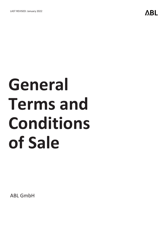# **General Terms and Conditions of Sale**

ABL GmbH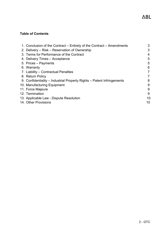# **Table of Contents**

| 1. Conclusion of the Contract – Entirety of the Contract – Amendments  | 3  |
|------------------------------------------------------------------------|----|
| 2. Delivery – Risk – Reservation of Ownership                          | 3  |
| 3. Terms for Performance of the Contract                               | 4  |
| 4. Delivery Times - Acceptance                                         | 5  |
| 5. Prices – Payments                                                   | 5  |
| 6. Warranty                                                            | 6  |
| 7. Liability – Contractual Penalties                                   | 7  |
| 8. Return Policy                                                       | 7  |
| 9. Confidentiality – Industrial Property Rights – Patent Infringements | 8  |
| 10. Manufacturing Equipment                                            | 9  |
| 11. Force Majeure                                                      | 9  |
| 12. Termination                                                        | 9  |
| 13. Applicable Law - Dispute Resolution                                | 10 |
| 14. Other Provisions                                                   | 10 |
|                                                                        |    |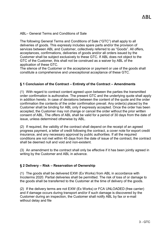ABL– General Terms and Conditions of Sale

The following General Terms and Conditions of Sale ("GTC") shall apply to all deliveries of goods. This expressly includes spare parts and/or the provision of services between ABL and Customer, collectively referred to as "Goods". All offers, acceptances, confirmations, deliveries of goods and/or all orders issued by the Customer shall be subject exclusively to these GTC. If ABL does not object to the GTC of the Customer, this shall not be construed as a waiver by ABL of the application of these GTC.

The silence of the Customer or the acceptance or payment or use of the goods shall constitute a comprehensive and unexceptional acceptance of these GTC.

#### <span id="page-2-0"></span>**§ 1 Conclusion of the Contract – Entirety of the Contract – Amendments**

(1) With regard to contract content agreed upon between the parties the transmitted order confirmation is authorative. The present GTC and the underlying quote shall apply in addition hereto. In case of deviations between the content of the quote and the order confirmation the contents of the order confirmation prevail. Any order(s) placed by the Customer shall be binding for ABL only if expressly accepted. Once the order has been accepted, the Customer may not change or cancel the order without the prior written consent of ABL. The offers of ABL shall be valid for a period of 30 days from the date of issue, unless determined otherwise by ABL.

(2) If required, the validity of the contract shall depend on the receipt of an agreed progress payment, a letter of credit following the contract, a cover note for export credit insurance, and any necessary approval by public authorities. If all the required conditions are not met within 45 days from the date of issue of the contract, the contract shall be deemed null and void and non-existent.

(3) An amendment to the contract shall only be effective if it has been jointly agreed in writing by the Customer and ABL in advance.

#### <span id="page-2-1"></span>**§ 2 Delivery – Risk – Reservation of Ownership**

(1) The goods shall be delivered EXW (Ex Works) from ABL in accordance with Incoterms 2020. Partial deliveries shall be permitted. The risk of loss of or damage to the goods shall be transferred to the Customer at the time of delivery of the goods.

(2) If the delivery terms are not EXW (Ex Works) or FCA UNLOADED (free carrier) and if damage occurs during transport and/or if such damage is discovered by the Customer during an inspection, the Customer shall notify ABL by fax or e-mail without delay and file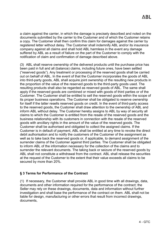a claim against the carrier, in which the damage is precisely described and noted on the documents submitted by the carrier to the Customer and of which the Customer retains a copy. The Customer shall then confirm this claim for damages against the carrier by registered letter without delay. The Customer shall indemnify ABL and/or its insurance company against all claims and shall hold ABL harmless in the event any damage suffered by ABL as a result of failure on the part of the Customer to comply with the notification of claim and confirmation of damage described above.

(3) ABL shall reserve ownership of the delivered products until the purchase price has been paid in full and all (balance) claims, including future ones, have been settled ("reserved goods"). Any treatment or processing of the reserved goods shall be carried out on behalf of ABL. In the event of that the Customer incorporates the goods of ABL into third-party goods, ABL shall acquire joint ownership of the resulting new products in the proportion of the value of the reserved goods to the third-party goods used. The resulting products shall also be regarded as reserved goods of ABL. The same shall apply if the reserved goods are combined or mixed with goods of third parties or of the Customer. The Customer shall be entitled to sell the reserved goods within the scope of its proper business operations. The Customer shall be obligated to reserve ownership for itself if the latter resells reserved goods on credit. In the event of third-party access to the reserved goods, the Customer shall draw attention to the ownership of ABL and inform ABL without delay. The Customer hereby assigns to ABL by way of security all claims to which the Customer is entitled from the resale of the reserved goods and the business relationship with its customers in connection with the resale of the reserved goods with ancillary rights in the amount of the value of the reserved goods. The Customer shall be authorised and obligated to collect the assigned claims. If the Customer is in default of payment, ABL shall be entitled at any time to revoke the direct debit authorisation and to notify the customers of the Customer of the assignment as well as to take back the reserved goods or, if applicable, to demand assignment of the surrender claims of the Customer against third parties. The Customer shall be obligated to inform ABL of the information necessary for the collection of the claims and to surrender the relevant documents. The taking back or seizure of the reserved goods by ABL shall not constitute a withdrawal from the contract. ABL shall release the securities at the request of the Customer to the extent that their value exceeds all claims to be secured by more than 20%.

## <span id="page-3-0"></span>**§ 3 Terms for Performance of the Contract**

(1) If necessary, the Customer shall provide ABL in good time with all drawings, data, documents and other information required for the performance of the contract; the Seller may rely on these drawings, documents, data and information without further investigation and shall base the performance of the contract on them. ABL shall not be liable for design, manufacturing or other errors that result from incorrect drawings, documents,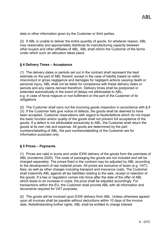data or other information given by the Customer or third parties.

(2) If ABL is unable to deliver the entire quantity of goods, for whatever reason, ABL may reasonably and appropriately distribute its manufacturing capacity between other buyers and other affiliates of ABL. ABL shall inform the Customer of the terms under which such an allocation takes place.

#### <span id="page-4-0"></span>**§ 4 Delivery Times – Acceptance**

(1) The delivery dates or periods set out in the contract shall represent the best estimate on the part of ABL thereof; except in the case of liability based on wilful misconduct or gross negligence and damages for negligent actions causing death or personal injury, ABL shall not be liable for compliance with these delivery dates or periods and any claims derived therefrom. Delivery times shall be postponed or extended automatically in the event of delays not attributable to ABL; e.g. in case of force majeure or non-fulfilment on the part of the Customer of its obligations.

(2) The Customer shall carry out the incoming goods inspection in accordance with  $\S 6$ (3). If the Customer fails give notice of defects, the goods shall be deemed to have been accepted. Customer reservations with regard to faults/defects which do not impair the basic function and/or quality of the goods shall not prevent full acceptance of the goods. If a defect is not attributable exclusively to ABL, the Customer shall return the goods at its own risk and expense. All goods are determined by the part numbers/labelling of ABL; the part numbers/labelling of the Customer are for information purposes only.

## <span id="page-4-1"></span>**§ 5 Prices – Payments**

(1) Prices are valid in euros and under EXW delivery of the goods from the premises of ABL (Incoterms 2020). The costs of packaging the goods are not included and will be charged separately. The prices fixed in the contract may be adjusted by ABL according to the development of raw material prices. All prices are exclusive of taxes (e.g. VAT), fees, as well as other charges including transport and insurance costs. The Customer shall indemnify ABL against all tax liabilities relating to the sale, receipt or retention of the goods. If a law or regulation comes into force after the date of the offer of ABL which leads to an increase in costs, the price shall be adjusted accordingly. For transactions within the EU, the Customer shall provide ABL with all information and documents required for VAT purposes.

(2) The goods will be invoiced upon EXW delivery from ABL. Unless otherwise agreed upon all invoices shall be payable without deductions within 10 days of the invoice date. Notwithstanding further rights, ABL shall be entitled to charge interest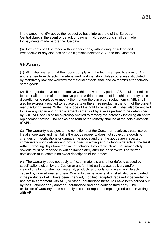in the amount of 9% above the respective base interest rate of the European Central Bank in the event of default of payment. No deductions shall be made for payments made before the due date.

(3) Payments shall be made without deductions, withholding, offsetting and irrespective of any disputes and/or litigations between ABL and the Customer.

#### <span id="page-5-0"></span>**§ 6 Warranty**

(1) ABL shall warrant that the goods comply with the technical specifications of ABL and are free from defects in material and workmanship. Unless otherwise stipulated by mandatory law, the warranty for material defects shall end 24 months after delivery of the goods.

(2) If the goods prove to be defective within the warranty period, ABL shall be entitled to repair all or parts of the defective goods within the scope of its right to remedy at its discretion or to replace or modify them under the same contractual terms. ABL shall also be expressly entitled to replace parts or the entire product in the form of the current manufacturing series. Within the scope of the right to remedy, ABL shall also be entitled to have any repair and/or replacement carried out by a sales partner to be determined by ABL. ABL shall also be expressly entitled to remedy the defect by installing an entire replacement device. The choice and form of the remedy shall be at the sole discretion of ABL.

(3) The warranty is subject to the condition that the Customer receives, treats, stores, installs, operates and maintains the goods properly, does not subject the goods to changes or modifications or damage the goods and that the goods are inspected immediately upon delivery and notice given in writing about obvious defects at the least within 5 working days from the time of delivery. Defects which are not immediately obvious must be reported in writing immediately after their discovery. The written notification must contain an exact description of the defect.

(4) The warranty does not apply to friction materials and other defects caused by specifications given by the Customer and/or third parties, e.g. delivery and/or instructions for construction, material, products and tools, or to wear and defects caused by normal wear and tear. Warranty claims against ABL shall also be excluded if the products of ABL have been changed, modified, adapted, repaired independently and not in agreement with ABL, or other unauthorised measures have been carried out by the Customer or by another unauthorised and non-certified third party. The exclusion of warranty does not apply in case of repair attempts agreed upon in writing with ABL.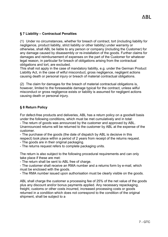# <span id="page-6-0"></span>**§ 7 Liability – Contractual Penalties**

(1) Under no circumstances, whether for breach of contract, tort (including liability for negligence, product liability, strict liability or other liability) under warranty or otherwise, shall ABL be liable to any person or company (including the Customer) for any damage caused by disassembly or re-installation of the goods. Further claims for damages and reimbursement of expenses on the part of the Customer for whatever legal reason, in particular for breach of obligations arising from the contractual obligations and tort, are excluded.

This shall not apply in the case of mandatory liability, e.g. under the German Product Liability Act, in the case of wilful misconduct, gross negligence, negligent actions causing death or personal injury or breach of material contractual obligations.

(2) The claim for damages for the breach of material contractual obligations is, however, limited to the foreseeable damage typical for the contract, unless wilful misconduct or gross negligence exists or liability is assumed for negligent actions causing death or personal injury.

## <span id="page-6-1"></span>**§ 8 Return Policy**

For defect-free products and deliveries, ABL has a return policy on a goodwill basis under the following conditions, which must be met cumulatively and in total: - The return of goods was announced by the customer and approved by ABL. Unannounced returns will be returned to the customer by ABL at the expense of the customer.

- The purchase of the goods (the date of dispatch by ABL is decisive in this respect) took place within a period of 2 years from receipt of the returns request.

- The goods are in their original packaging.

- The returns request refers to complete packaging units.

The return is also subject to the following procedural requirements and can only take place if these are met:

- The return shall be sent to ABL free of charge.

- The customer shall receive an RMA number and a returns form by e-mail, which must be enclosed with the goods.

- The RMA number issued upon authorisation must be clearly visible on the goods.

ABL shall charge the customer a processing fee of 25% of the net value of the goods plus any discount and/or bonus payments applied. Any necessary repackaging, freight, customs or other costs incurred, increased processing costs or goods returned in a condition which does not correspond to the condition of the original shipment, shall be subject to a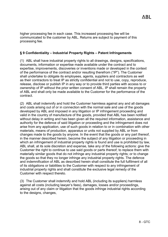higher processing fee in each case. This increased processing fee will be communicated to the customer by ABL. Returns are subject to payment of this processing fee.

#### <span id="page-7-0"></span>**§ 9 Confidentiality – Industrial Property Rights – Patent Infringements**

(1) ABL shall have industrial property rights to all drawings, designs, specifications, documents, information or expertise made available under the contract and to expertise, improvements, discoveries or inventions made or developed in the context of the performance of the contract and/or resulting therefrom ("IP"). The Customer shall undertake to obligate its employees, agents, suppliers and contractors as well as their contractors to treat IP as strictly confidential and not to use, copy, reproduce, release, disclose or publish IP in any way or to provide third parties with access to or ownership of IP without the prior written consent of ABL. IP shall remain the property of ABL and shall only be made available to the Customer for the performance of the contract.

(2) ABL shall indemnify and hold the Customer harmless against any and all damages and costs arising out of or in connection with the normal sale and use of the goods developed by ABL and imposed in any litigation or IP infringement proceeding and valid in the country of manufacture of the goods, provided that ABL has been notified without delay in writing and has been given all the required information, assistance and authority for the defence of said litigation or proceeding and the infringement does not arise from any application, use of such goods in relation to or in combination with other materials, means of production, apparatus or units not supplied by ABL or from changes made to the goods by anyone. In the event that the goods or any part thereof, in the manner described herein, become the subject of any litigation or proceeding in which an infringement of industrial property rights is found and use is prohibited by law, ABL shall, at its sole discretion and expense, take any of the following actions: give the Customer the right to continue to use said goods or parts thereof; to replace them with materially similar goods that do not infringe any industrial property rights; or to change the goods so that they no longer infringe any industrial property rights. The defence and indemnification of ABL as described herein shall constitute the full fulfilment of all of its obligations or liabilities to the Customer with respect to any infringement of industrial property rights and shall constitute the exclusive legal remedy of the Customer with respect thereto.

(3) The Customer shall indemnify and hold ABL (including its suppliers) harmless against all costs (including lawyer's fees), damages, losses and/or proceedings, arising out of any claim or litigation that the goods infringe industrial rights according to the designs, changes,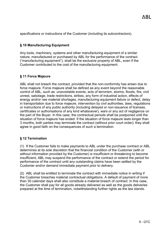specifications or instructions of the Customer (including its subcontractors).

# <span id="page-8-0"></span>**§ 10 Manufacturing Equipment**

Any tools, machinery, systems and other manufacturing equipment of a similar nature, manufactured or purchased by ABL for the performance of the contract ("manufacturing equipment"), shall be the exclusive property of ABL, even if the Customer contributed to the cost of the manufacturing equipment.

# <span id="page-8-1"></span>**§ 11 Force Majeure**

ABL shall not breach the contract, provided that the non-conformity has arisen due to force majeure. Force majeure shall be defined as any event beyond the reasonable control of ABL, such as: unavoidable events, acts of terrorism, storms, floods, fire, civil unrest, sabotage, trade restrictions, strikes, any form of industrial action, effects of energy and/or raw material shortages, manufacturing equipment failure or defect, delay in transportation due to force majeure, intervention by civil authorities, laws, regulations or instructions of any public authority (including delayed or non-issuance of licenses, certificates or authorisations of any kind whatsoever), wars or any act of negligence on the part of the Buyer. In this case, the contractual periods shall be postponed until the situation of force majeure has ended. If the situation of force majeure lasts longer than 3 months, both parties may terminate the contract (without prior court order); they shall agree in good faith on the consequences of such a termination.

## <span id="page-8-2"></span>**§ 12 Termination**

(1) If the Customer fails to make payments to ABL under the purchase contract or ABL determines at its sole discretion that the financial condition of the Customer (with or without information provided by the Customer) is insufficient or threatening to become insufficient, ABL may suspend the performance of the contract or extend the period for performance of the contract until any outstanding claims have been settled by the Customer and/or demand immediate payment prior to delivery.

(2) ABL shall be entitled to terminate the contract with immediate notice in writing if the Customer breaches material contractual obligations. A default of payment of more than 30 calendar days shall also constitute a material breach of contract. In this case, the Customer shall pay for all goods already delivered as well as the goods deliveries prepared at the time of termination, notwithstanding further rights as the law stands.